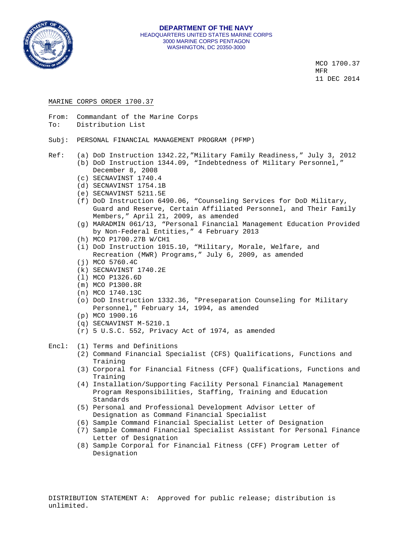

 $MCO$  1700.37 **MER MER** 11 DEC 2014

### MARINE CORPS ORDER 1700.37

- From: Commandant of the Marine Corps
- To: Distribution List
- Subj: PERSONAL FINANCIAL MANAGEMENT PROGRAM (PFMP)
- 
- Ref: (a) DoD Instruction 1342.22,"Military Family Readiness," July 3, 2012 (b) DoD Instruction 1344.09, "Indebtedness of Military Personnel," December 8, 2008
	- (c) SECNAVINST 1740.4
	- (d) SECNAVINST 1754.1B
	- (e) SECNAVINST 5211.5E
	- (f) DoD Instruction 6490.06, "Counseling Services for DoD Military, Guard and Reserve, Certain Affiliated Personnel, and Their Family Members," April 21, 2009, as amended
	- (g) MARADMIN 061/13, "Personal Financial Management Education Provided by Non-Federal Entities," 4 February 2013
	- (h) MCO P1700.27B W/CH1
	- (i) DoD Instruction 1015.10, "Military, Morale, Welfare, and Recreation (MWR) Programs," July 6, 2009, as amended
	- (j) MCO 5760.4C
	- (k) SECNAVINST 1740.2E
	- (l) MCO P1326.6D
	- (m) MCO P1300.8R
	- (n) MCO 1740.13C
	- (o) DoD Instruction 1332.36, "Preseparation Counseling for Military Personnel," February 14, 1994, as amended
	- (p) MCO 1900.16
	- (q) SECNAVINST M-5210.1
	- (r) 5 U.S.C. 552, Privacy Act of 1974, as amended

### Encl: (1) Terms and Definitions

- (2) Command Financial Specialist (CFS) Qualifications, Functions and Training
- (3) Corporal for Financial Fitness (CFF) Qualifications, Functions and Training
- (4) Installation/Supporting Facility Personal Financial Management Program Responsibilities, Staffing, Training and Education Standards
- (5) Personal and Professional Development Advisor Letter of Designation as Command Financial Specialist
- (6) Sample Command Financial Specialist Letter of Designation
- (7) Sample Command Financial Specialist Assistant for Personal Finance Letter of Designation
- (8) Sample Corporal for Financial Fitness (CFF) Program Letter of Designation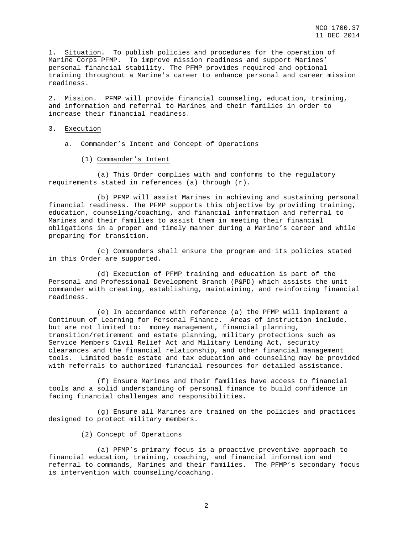1. Situation. To publish policies and procedures for the operation of Marine Corps PFMP. To improve mission readiness and support Marines' personal financial stability. The PFMP provides required and optional training throughout a Marine's career to enhance personal and career mission readiness.

2. Mission. PFMP will provide financial counseling, education, training, and information and referral to Marines and their families in order to increase their financial readiness.

### 3. Execution

- a. Commander's Intent and Concept of Operations
	- (1) Commander's Intent

 (a) This Order complies with and conforms to the regulatory requirements stated in references (a) through (r).

 (b) PFMP will assist Marines in achieving and sustaining personal financial readiness. The PFMP supports this objective by providing training, education, counseling/coaching, and financial information and referral to Marines and their families to assist them in meeting their financial obligations in a proper and timely manner during a Marine's career and while preparing for transition.

 (c) Commanders shall ensure the program and its policies stated in this Order are supported.

 (d) Execution of PFMP training and education is part of the Personal and Professional Development Branch (P&PD) which assists the unit commander with creating, establishing, maintaining, and reinforcing financial readiness.

 (e) In accordance with reference (a) the PFMP will implement a Continuum of Learning for Personal Finance. Areas of instruction include, but are not limited to: money management, financial planning, transition/retirement and estate planning, military protections such as Service Members Civil Relief Act and Military Lending Act, security clearances and the financial relationship, and other financial management tools. Limited basic estate and tax education and counseling may be provided with referrals to authorized financial resources for detailed assistance.

 (f) Ensure Marines and their families have access to financial tools and a solid understanding of personal finance to build confidence in facing financial challenges and responsibilities.

 (g) Ensure all Marines are trained on the policies and practices designed to protect military members.

### (2) Concept of Operations

 (a) PFMP's primary focus is a proactive preventive approach to financial education, training, coaching, and financial information and referral to commands, Marines and their families. The PFMP's secondary focus is intervention with counseling/coaching.

2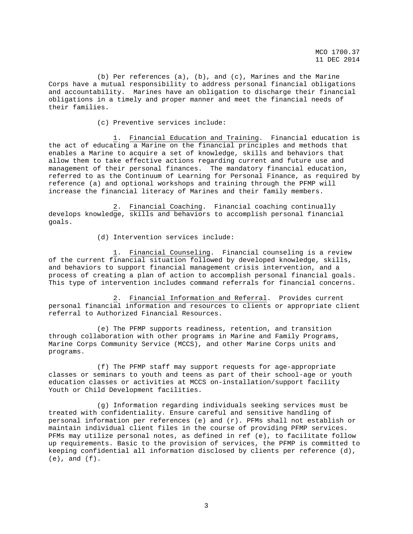(b) Per references (a), (b), and (c), Marines and the Marine Corps have a mutual responsibility to address personal financial obligations and accountability. Marines have an obligation to discharge their financial obligations in a timely and proper manner and meet the financial needs of their families.

(c) Preventive services include:

 1. Financial Education and Training. Financial education is the act of educating a Marine on the financial principles and methods that enables a Marine to acquire a set of knowledge, skills and behaviors that allow them to take effective actions regarding current and future use and management of their personal finances. The mandatory financial education, referred to as the Continuum of Learning for Personal Finance, as required by reference (a) and optional workshops and training through the PFMP will increase the financial literacy of Marines and their family members.

 2. Financial Coaching. Financial coaching continually develops knowledge, skills and behaviors to accomplish personal financial goals.

(d) Intervention services include:

 1. Financial Counseling. Financial counseling is a review of the current financial situation followed by developed knowledge, skills, and behaviors to support financial management crisis intervention, and a process of creating a plan of action to accomplish personal financial goals. This type of intervention includes command referrals for financial concerns.

 2. Financial Information and Referral. Provides current personal financial information and resources to clients or appropriate client referral to Authorized Financial Resources.

 (e) The PFMP supports readiness, retention, and transition through collaboration with other programs in Marine and Family Programs, Marine Corps Community Service (MCCS), and other Marine Corps units and programs.

 (f) The PFMP staff may support requests for age-appropriate classes or seminars to youth and teens as part of their school-age or youth education classes or activities at MCCS on-installation/support facility Youth or Child Development facilities.

 (g) Information regarding individuals seeking services must be treated with confidentiality. Ensure careful and sensitive handling of personal information per references (e) and (r). PFMs shall not establish or maintain individual client files in the course of providing PFMP services. PFMs may utilize personal notes, as defined in ref (e), to facilitate follow up requirements. Basic to the provision of services, the PFMP is committed to keeping confidential all information disclosed by clients per reference (d),  $(e)$ , and  $(f)$ .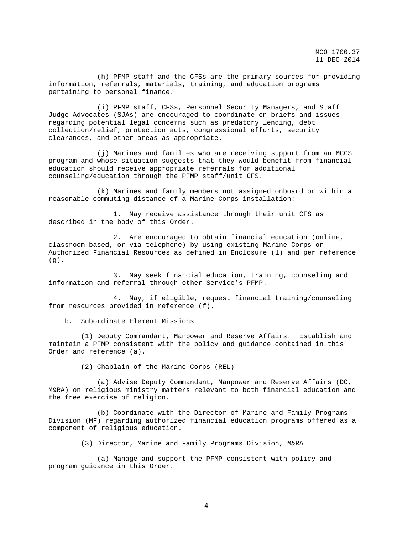(h) PFMP staff and the CFSs are the primary sources for providing information, referrals, materials, training, and education programs pertaining to personal finance.

 (i) PFMP staff, CFSs, Personnel Security Managers, and Staff Judge Advocates (SJAs) are encouraged to coordinate on briefs and issues regarding potential legal concerns such as predatory lending, debt collection/relief, protection acts, congressional efforts, security clearances, and other areas as appropriate.

 (j) Marines and families who are receiving support from an MCCS program and whose situation suggests that they would benefit from financial education should receive appropriate referrals for additional counseling/education through the PFMP staff/unit CFS.

 (k) Marines and family members not assigned onboard or within a reasonable commuting distance of a Marine Corps installation:

 1. May receive assistance through their unit CFS as described in the body of this Order.

 2. Are encouraged to obtain financial education (online, classroom-based, or via telephone) by using existing Marine Corps or Authorized Financial Resources as defined in Enclosure (1) and per reference (g).

 3. May seek financial education, training, counseling and information and referral through other Service's PFMP.

 4. May, if eligible, request financial training/counseling from resources provided in reference (f).

## b. Subordinate Element Missions

 (1) Deputy Commandant, Manpower and Reserve Affairs. Establish and maintain a PFMP consistent with the policy and guidance contained in this Order and reference (a).

(2) Chaplain of the Marine Corps (REL)

 (a) Advise Deputy Commandant, Manpower and Reserve Affairs (DC, M&RA) on religious ministry matters relevant to both financial education and the free exercise of religion.

 (b) Coordinate with the Director of Marine and Family Programs Division (MF) regarding authorized financial education programs offered as a component of religious education.

## (3) Director, Marine and Family Programs Division, M&RA

 (a) Manage and support the PFMP consistent with policy and program guidance in this Order.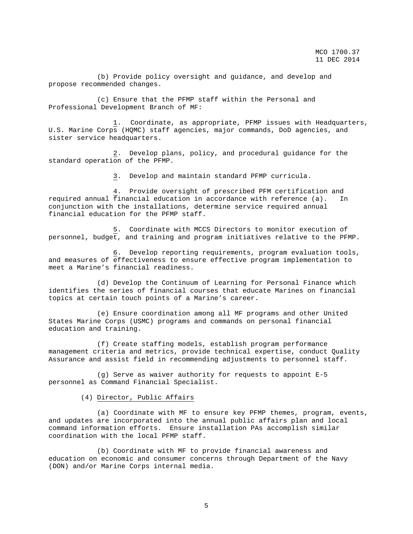(b) Provide policy oversight and guidance, and develop and propose recommended changes.

 (c) Ensure that the PFMP staff within the Personal and Professional Development Branch of MF:

 1. Coordinate, as appropriate, PFMP issues with Headquarters, U.S. Marine Corps (HQMC) staff agencies, major commands, DoD agencies, and sister service headquarters.

 2. Develop plans, policy, and procedural guidance for the standard operation of the PFMP.

3. Develop and maintain standard PFMP curricula.

 4. Provide oversight of prescribed PFM certification and required annual financial education in accordance with reference (a). In conjunction with the installations, determine service required annual financial education for the PFMP staff.

 5. Coordinate with MCCS Directors to monitor execution of personnel, budget, and training and program initiatives relative to the PFMP.

 6. Develop reporting requirements, program evaluation tools, and measures of effectiveness to ensure effective program implementation to meet a Marine's financial readiness.

 (d) Develop the Continuum of Learning for Personal Finance which identifies the series of financial courses that educate Marines on financial topics at certain touch points of a Marine's career.

 (e) Ensure coordination among all MF programs and other United States Marine Corps (USMC) programs and commands on personal financial education and training.

 (f) Create staffing models, establish program performance management criteria and metrics, provide technical expertise, conduct Quality Assurance and assist field in recommending adjustments to personnel staff.

 (g) Serve as waiver authority for requests to appoint E-5 personnel as Command Financial Specialist.

(4) Director, Public Affairs

 (a) Coordinate with MF to ensure key PFMP themes, program, events, and updates are incorporated into the annual public affairs plan and local command information efforts. Ensure installation PAs accomplish similar coordination with the local PFMP staff.

 (b) Coordinate with MF to provide financial awareness and education on economic and consumer concerns through Department of the Navy (DON) and/or Marine Corps internal media.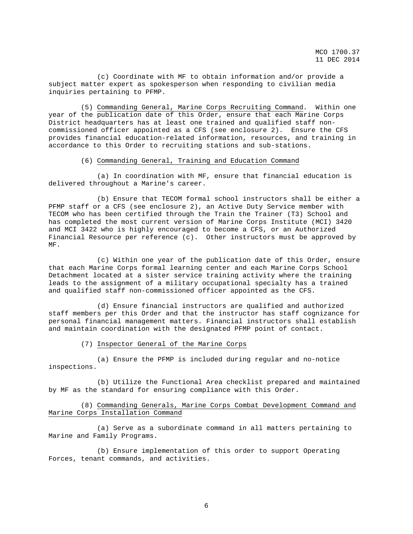(c) Coordinate with MF to obtain information and/or provide a subject matter expert as spokesperson when responding to civilian media inquiries pertaining to PFMP.

 (5) Commanding General, Marine Corps Recruiting Command. Within one year of the publication date of this Order, ensure that each Marine Corps District headquarters has at least one trained and qualified staff noncommissioned officer appointed as a CFS (see enclosure 2). Ensure the CFS provides financial education-related information, resources, and training in accordance to this Order to recruiting stations and sub-stations.

### (6) Commanding General, Training and Education Command

 (a) In coordination with MF, ensure that financial education is delivered throughout a Marine's career.

 (b) Ensure that TECOM formal school instructors shall be either a PFMP staff or a CFS (see enclosure 2), an Active Duty Service member with TECOM who has been certified through the Train the Trainer (T3) School and has completed the most current version of Marine Corps Institute (MCI) 3420 and MCI 3422 who is highly encouraged to become a CFS, or an Authorized Financial Resource per reference (c). Other instructors must be approved by MF.

 (c) Within one year of the publication date of this Order, ensure that each Marine Corps formal learning center and each Marine Corps School Detachment located at a sister service training activity where the training leads to the assignment of a military occupational specialty has a trained and qualified staff non-commissioned officer appointed as the CFS.

 (d) Ensure financial instructors are qualified and authorized staff members per this Order and that the instructor has staff cognizance for personal financial management matters. Financial instructors shall establish and maintain coordination with the designated PFMP point of contact.

(7) Inspector General of the Marine Corps

 (a) Ensure the PFMP is included during regular and no-notice inspections.

 (b) Utilize the Functional Area checklist prepared and maintained by MF as the standard for ensuring compliance with this Order.

 (8) Commanding Generals, Marine Corps Combat Development Command and Marine Corps Installation Command

 (a) Serve as a subordinate command in all matters pertaining to Marine and Family Programs.

 (b) Ensure implementation of this order to support Operating Forces, tenant commands, and activities.

6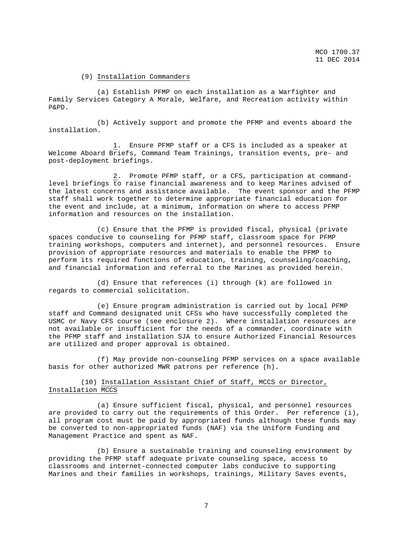## (9) Installation Commanders

 (a) Establish PFMP on each installation as a Warfighter and Family Services Category A Morale, Welfare, and Recreation activity within P&PD.

 (b) Actively support and promote the PFMP and events aboard the installation.

 1. Ensure PFMP staff or a CFS is included as a speaker at Welcome Aboard Briefs, Command Team Trainings, transition events, pre- and post-deployment briefings.

 2. Promote PFMP staff, or a CFS, participation at commandlevel briefings to raise financial awareness and to keep Marines advised of the latest concerns and assistance available. The event sponsor and the PFMP staff shall work together to determine appropriate financial education for the event and include, at a minimum, information on where to access PFMP information and resources on the installation.

 (c) Ensure that the PFMP is provided fiscal, physical (private spaces conducive to counseling for PFMP staff, classroom space for PFMP training workshops, computers and internet), and personnel resources. Ensure provision of appropriate resources and materials to enable the PFMP to perform its required functions of education, training, counseling/coaching, and financial information and referral to the Marines as provided herein.

 (d) Ensure that references (i) through (k) are followed in regards to commercial solicitation.

 (e) Ensure program administration is carried out by local PFMP staff and Command designated unit CFSs who have successfully completed the USMC or Navy CFS course (see enclosure 2). Where installation resources are not available or insufficient for the needs of a commander, coordinate with the PFMP staff and installation SJA to ensure Authorized Financial Resources are utilized and proper approval is obtained.

 (f) May provide non-counseling PFMP services on a space available basis for other authorized MWR patrons per reference (h).

# (10) Installation Assistant Chief of Staff, MCCS or Director, Installation MCCS

 (a) Ensure sufficient fiscal, physical, and personnel resources are provided to carry out the requirements of this Order. Per reference (i), all program cost must be paid by appropriated funds although these funds may be converted to non-appropriated funds (NAF) via the Uniform Funding and Management Practice and spent as NAF.

 (b) Ensure a sustainable training and counseling environment by providing the PFMP staff adequate private counseling space, access to classrooms and internet-connected computer labs conducive to supporting Marines and their families in workshops, trainings, Military Saves events,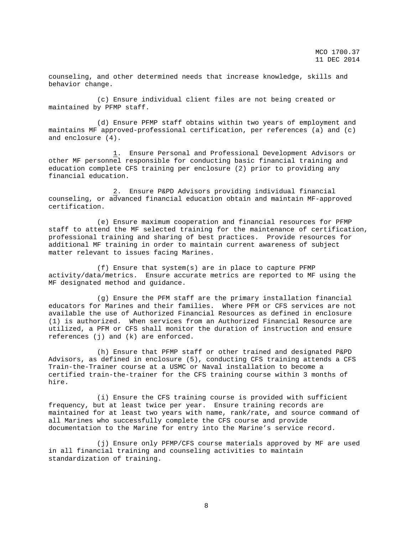counseling, and other determined needs that increase knowledge, skills and behavior change.

 (c) Ensure individual client files are not being created or maintained by PFMP staff.

 (d) Ensure PFMP staff obtains within two years of employment and maintains MF approved-professional certification, per references (a) and (c) and enclosure (4).

 1. Ensure Personal and Professional Development Advisors or other MF personnel responsible for conducting basic financial training and education complete CFS training per enclosure (2) prior to providing any financial education.

 2. Ensure P&PD Advisors providing individual financial counseling, or advanced financial education obtain and maintain MF-approved certification.

 (e) Ensure maximum cooperation and financial resources for PFMP staff to attend the MF selected training for the maintenance of certification, professional training and sharing of best practices. Provide resources for additional MF training in order to maintain current awareness of subject matter relevant to issues facing Marines.

 (f) Ensure that system(s) are in place to capture PFMP activity/data/metrics. Ensure accurate metrics are reported to MF using the MF designated method and guidance.

 (g) Ensure the PFM staff are the primary installation financial educators for Marines and their families. Where PFM or CFS services are not available the use of Authorized Financial Resources as defined in enclosure (1) is authorized. When services from an Authorized Financial Resource are utilized, a PFM or CFS shall monitor the duration of instruction and ensure references (j) and (k) are enforced.

 (h) Ensure that PFMP staff or other trained and designated P&PD Advisors, as defined in enclosure (5), conducting CFS training attends a CFS Train-the-Trainer course at a USMC or Naval installation to become a certified train-the-trainer for the CFS training course within 3 months of hire.

 (i) Ensure the CFS training course is provided with sufficient frequency, but at least twice per year. Ensure training records are maintained for at least two years with name, rank/rate, and source command of all Marines who successfully complete the CFS course and provide documentation to the Marine for entry into the Marine's service record.

 (j) Ensure only PFMP/CFS course materials approved by MF are used in all financial training and counseling activities to maintain standardization of training.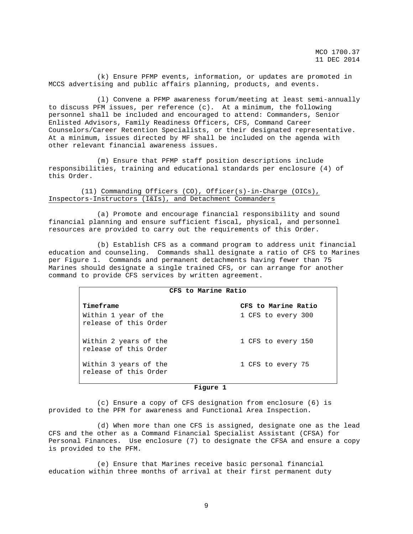(k) Ensure PFMP events, information, or updates are promoted in MCCS advertising and public affairs planning, products, and events.

 (l) Convene a PFMP awareness forum/meeting at least semi-annually to discuss PFM issues, per reference (c). At a minimum, the following personnel shall be included and encouraged to attend: Commanders, Senior Enlisted Advisors, Family Readiness Officers, CFS, Command Career Counselors/Career Retention Specialists, or their designated representative. At a minimum, issues directed by MF shall be included on the agenda with other relevant financial awareness issues.

 (m) Ensure that PFMP staff position descriptions include responsibilities, training and educational standards per enclosure (4) of this Order.

## (11) Commanding Officers (CO), Officer(s)-in-Charge (OICs), Inspectors-Instructors (I&Is), and Detachment Commanders

 (a) Promote and encourage financial responsibility and sound financial planning and ensure sufficient fiscal, physical, and personnel resources are provided to carry out the requirements of this Order.

 (b) Establish CFS as a command program to address unit financial education and counseling. Commands shall designate a ratio of CFS to Marines per Figure 1. Commands and permanent detachments having fewer than 75 Marines should designate a single trained CFS, or can arrange for another command to provide CFS services by written agreement.

| CFS to Marine Ratio                            |                     |
|------------------------------------------------|---------------------|
| Timeframe                                      | CFS to Marine Ratio |
| Within 1 year of the<br>release of this Order  | 1 CFS to every 300  |
| Within 2 years of the<br>release of this Order | 1 CFS to every 150  |
| Within 3 years of the<br>release of this Order | 1 CFS to every 75   |

#### **Figure 1**

 (c) Ensure a copy of CFS designation from enclosure (6) is provided to the PFM for awareness and Functional Area Inspection.

 (d) When more than one CFS is assigned, designate one as the lead CFS and the other as a Command Financial Specialist Assistant (CFSA) for Personal Finances. Use enclosure (7) to designate the CFSA and ensure a copy is provided to the PFM.

 (e) Ensure that Marines receive basic personal financial education within three months of arrival at their first permanent duty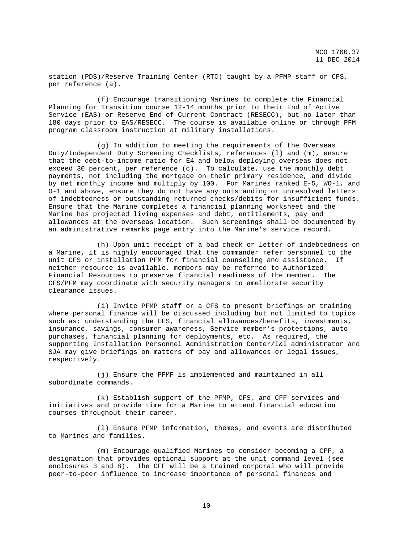station (PDS)/Reserve Training Center (RTC) taught by a PFMP staff or CFS, per reference (a).

 (f) Encourage transitioning Marines to complete the Financial Planning for Transition course 12-14 months prior to their End of Active Service (EAS) or Reserve End of Current Contract (RESECC), but no later than 180 days prior to EAS/RESECC. The course is available online or through PFM program classroom instruction at military installations.

 (g) In addition to meeting the requirements of the Overseas Duty/Independent Duty Screening Checklists, references (l) and (m), ensure that the debt-to-income ratio for E4 and below deploying overseas does not exceed 30 percent, per reference (c). To calculate, use the monthly debt payments, not including the mortgage on their primary residence, and divide by net monthly income and multiply by 100. For Marines ranked E-5, WO-1, and O-1 and above, ensure they do not have any outstanding or unresolved letters of indebtedness or outstanding returned checks/debits for insufficient funds. Ensure that the Marine completes a financial planning worksheet and the Marine has projected living expenses and debt, entitlements, pay and allowances at the overseas location. Such screenings shall be documented by an administrative remarks page entry into the Marine's service record.

 (h) Upon unit receipt of a bad check or letter of indebtedness on a Marine, it is highly encouraged that the commander refer personnel to the unit CFS or installation PFM for financial counseling and assistance. If neither resource is available, members may be referred to Authorized Financial Resources to preserve financial readiness of the member. The CFS/PFM may coordinate with security managers to ameliorate security clearance issues.

 (i) Invite PFMP staff or a CFS to present briefings or training where personal finance will be discussed including but not limited to topics such as: understanding the LES, financial allowances/benefits, investments, insurance, savings, consumer awareness, Service member's protections, auto purchases, financial planning for deployments, etc. As required, the supporting Installation Personnel Administration Center/I&I administrator and SJA may give briefings on matters of pay and allowances or legal issues, respectively.

 (j) Ensure the PFMP is implemented and maintained in all subordinate commands.

 (k) Establish support of the PFMP, CFS, and CFF services and initiatives and provide time for a Marine to attend financial education courses throughout their career.

 (l) Ensure PFMP information, themes, and events are distributed to Marines and families.

 (m) Encourage qualified Marines to consider becoming a CFF, a designation that provides optional support at the unit command level (see enclosures 3 and 8). The CFF will be a trained corporal who will provide peer-to-peer influence to increase importance of personal finances and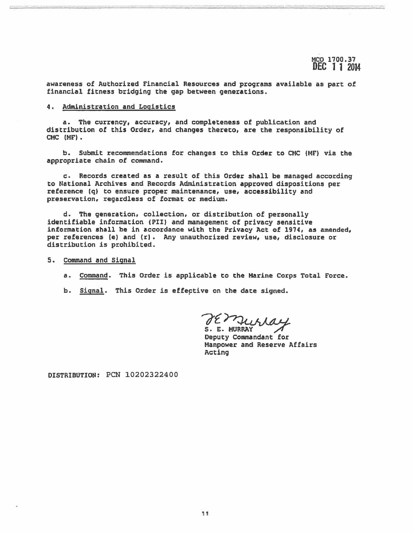awareness of Authorized Financial Resources and programs available as part of financial fitness bridging the gap between generations.

### 4. Administration and Logistics

a. The currency, accuracy, and completeness of publication and distribution of this Order, and changes thereto, are the responsibility of CMC (MF).

b. Submit recommendations for changes to this Order to CMC (HF) via the appropriate chain of command.

c. Records created as a result of this Order shall be managed accordinq to National Archives and Records Administration approved dispositions per reference (q) to ensure proper maintenance, use, accessibility and preservation, regardless of format or medium.

d. The generation, collection, or distribution of personally identifiable information (PII) and management of privacy sensitive information shall be in accordance with the Privacy Act of 1974, as amended, per references (e) and (r). Any unauthorized review, use, disclosure or distribution is prohibited.

- 5. Command and Signal
	- a. Command. This Order is applicable to the Marine Corps Total Force.
	- b. Signal. This Order is effective on the date signed.

TE MULLAY<br>S. E. MURRAY<br>Deputy Commandant for

Manpower and Reserve Affairs Acting

DISTRIBUTION: PCN 10202322400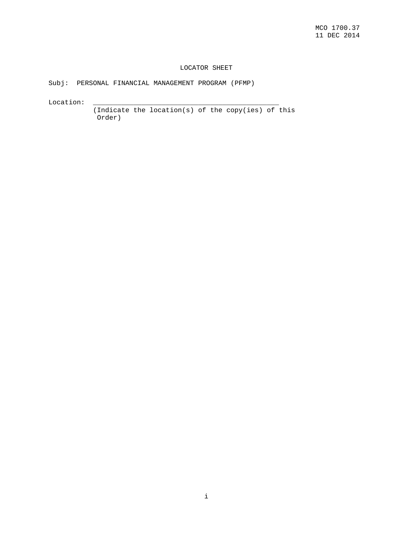# LOCATOR SHEET

Subj: PERSONAL FINANCIAL MANAGEMENT PROGRAM (PFMP)

 $\verb|Location: ___________1$ 

 (Indicate the location(s) of the copy(ies) of this Order)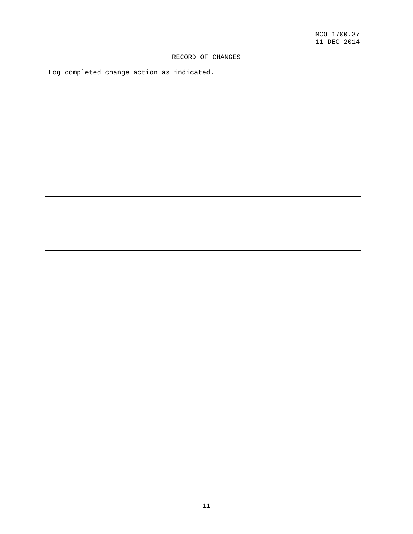# RECORD OF CHANGES

Log completed change action as indicated.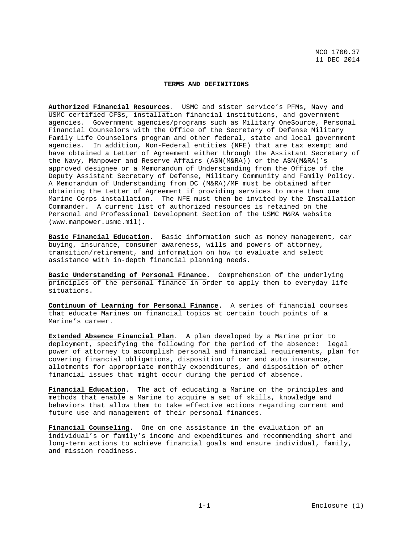### **TERMS AND DEFINITIONS**

**Authorized Financial Resources**. USMC and sister service's PFMs, Navy and USMC certified CFSs, installation financial institutions, and government agencies. Government agencies/programs such as Military OneSource, Personal Financial Counselors with the Office of the Secretary of Defense Military Family Life Counselors program and other federal, state and local government agencies. In addition, Non-Federal entities (NFE) that are tax exempt and have obtained a Letter of Agreement either through the Assistant Secretary of the Navy, Manpower and Reserve Affairs (ASN(M&RA)) or the ASN(M&RA)'s approved designee or a Memorandum of Understanding from the Office of the Deputy Assistant Secretary of Defense, Military Community and Family Policy. A Memorandum of Understanding from DC (M&RA)/MF must be obtained after obtaining the Letter of Agreement if providing services to more than one Marine Corps installation. The NFE must then be invited by the Installation Commander. A current list of authorized resources is retained on the Personal and Professional Development Section of the USMC M&RA website (www.manpower.usmc.mil).

**Basic Financial Education**. Basic information such as money management, car buying, insurance, consumer awareness, wills and powers of attorney, transition/retirement, and information on how to evaluate and select assistance with in-depth financial planning needs.

**Basic Understanding of Personal Finance.** Comprehension of the underlying principles of the personal finance in order to apply them to everyday life situations.

**Continuum of Learning for Personal Finance**. A series of financial courses that educate Marines on financial topics at certain touch points of a Marine's career.

**Extended Absence Financial Plan**. A plan developed by a Marine prior to deployment, specifying the following for the period of the absence: legal power of attorney to accomplish personal and financial requirements, plan for covering financial obligations, disposition of car and auto insurance, allotments for appropriate monthly expenditures, and disposition of other financial issues that might occur during the period of absence.

**Financial Education**. The act of educating a Marine on the principles and methods that enable a Marine to acquire a set of skills, knowledge and behaviors that allow them to take effective actions regarding current and future use and management of their personal finances.

**Financial Counseling**. One on one assistance in the evaluation of an individual's or family's income and expenditures and recommending short and long-term actions to achieve financial goals and ensure individual, family, and mission readiness.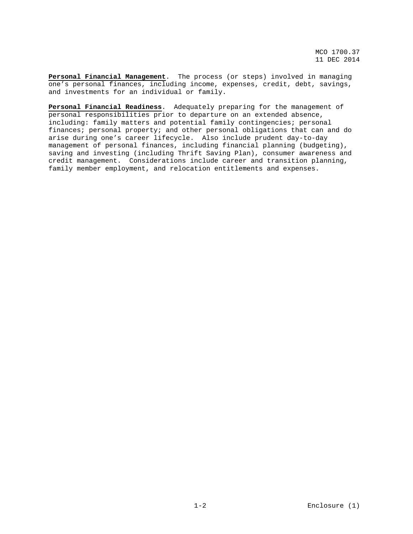**Personal Financial Management**. The process (or steps) involved in managing one's personal finances, including income, expenses, credit, debt, savings, and investments for an individual or family.

**Personal Financial Readiness**. Adequately preparing for the management of personal responsibilities prior to departure on an extended absence, including: family matters and potential family contingencies; personal finances; personal property; and other personal obligations that can and do arise during one's career lifecycle. Also include prudent day-to-day management of personal finances, including financial planning (budgeting), saving and investing (including Thrift Saving Plan), consumer awareness and credit management. Considerations include career and transition planning, family member employment, and relocation entitlements and expenses.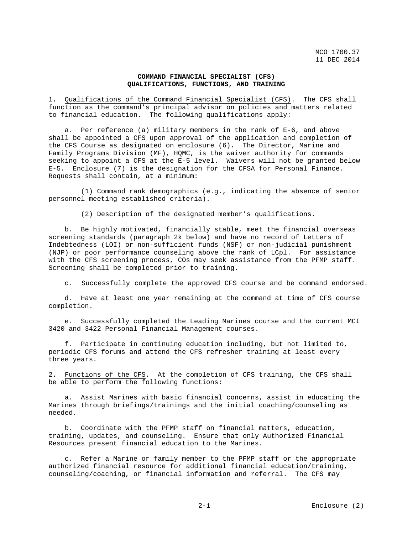## **COMMAND FINANCIAL SPECIALIST (CFS) QUALIFICATIONS, FUNCTIONS, AND TRAINING**

1. Qualifications of the Command Financial Specialist (CFS). The CFS shall function as the command's principal advisor on policies and matters related to financial education. The following qualifications apply:

 a. Per reference (a) military members in the rank of E-6, and above shall be appointed a CFS upon approval of the application and completion of the CFS Course as designated on enclosure (6). The Director, Marine and Family Programs Division (MF), HQMC, is the waiver authority for commands seeking to appoint a CFS at the E-5 level. Waivers will not be granted below E-5. Enclosure (7) is the designation for the CFSA for Personal Finance. Requests shall contain, at a minimum:

 (1) Command rank demographics (e.g., indicating the absence of senior personnel meeting established criteria).

(2) Description of the designated member's qualifications.

 b. Be highly motivated, financially stable, meet the financial overseas screening standards (paragraph 2k below) and have no record of Letters of Indebtedness (LOI) or non-sufficient funds (NSF) or non-judicial punishment (NJP) or poor performance counseling above the rank of LCpl. For assistance with the CFS screening process, COs may seek assistance from the PFMP staff. Screening shall be completed prior to training.

c. Successfully complete the approved CFS course and be command endorsed.

 d. Have at least one year remaining at the command at time of CFS course completion.

 e. Successfully completed the Leading Marines course and the current MCI 3420 and 3422 Personal Financial Management courses.

 f. Participate in continuing education including, but not limited to, periodic CFS forums and attend the CFS refresher training at least every three years.

2. Functions of the CFS. At the completion of CFS training, the CFS shall be able to perform the following functions:

 a. Assist Marines with basic financial concerns, assist in educating the Marines through briefings/trainings and the initial coaching/counseling as needed.

 b. Coordinate with the PFMP staff on financial matters, education, training, updates, and counseling. Ensure that only Authorized Financial Resources present financial education to the Marines.

 c. Refer a Marine or family member to the PFMP staff or the appropriate authorized financial resource for additional financial education/training, counseling/coaching, or financial information and referral. The CFS may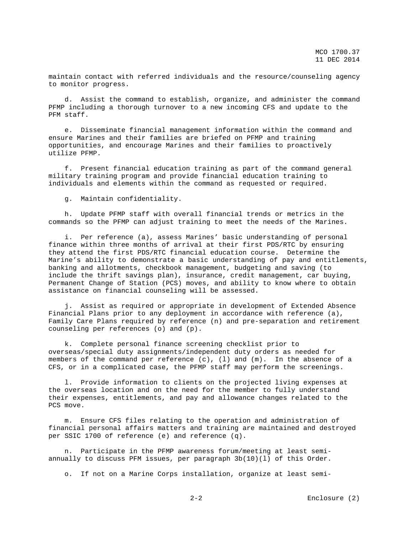maintain contact with referred individuals and the resource/counseling agency to monitor progress.

 d. Assist the command to establish, organize, and administer the command PFMP including a thorough turnover to a new incoming CFS and update to the PFM staff.

 e. Disseminate financial management information within the command and ensure Marines and their families are briefed on PFMP and training opportunities, and encourage Marines and their families to proactively utilize PFMP.

 f. Present financial education training as part of the command general military training program and provide financial education training to individuals and elements within the command as requested or required.

g. Maintain confidentiality.

 h. Update PFMP staff with overall financial trends or metrics in the commands so the PFMP can adjust training to meet the needs of the Marines.

 i. Per reference (a), assess Marines' basic understanding of personal finance within three months of arrival at their first PDS/RTC by ensuring they attend the first PDS/RTC financial education course. Determine the Marine's ability to demonstrate a basic understanding of pay and entitlements, banking and allotments, checkbook management, budgeting and saving (to include the thrift savings plan), insurance, credit management, car buying, Permanent Change of Station (PCS) moves, and ability to know where to obtain assistance on financial counseling will be assessed.

 j. Assist as required or appropriate in development of Extended Absence Financial Plans prior to any deployment in accordance with reference (a), Family Care Plans required by reference (n) and pre-separation and retirement counseling per references (o) and (p).

 k. Complete personal finance screening checklist prior to overseas/special duty assignments/independent duty orders as needed for members of the command per reference (c), (l) and (m). In the absence of a CFS, or in a complicated case, the PFMP staff may perform the screenings.

 l. Provide information to clients on the projected living expenses at the overseas location and on the need for the member to fully understand their expenses, entitlements, and pay and allowance changes related to the PCS move.

 m. Ensure CFS files relating to the operation and administration of financial personal affairs matters and training are maintained and destroyed per SSIC 1700 of reference (e) and reference (q).

 n. Participate in the PFMP awareness forum/meeting at least semiannually to discuss PFM issues, per paragraph 3b(10)(l) of this Order.

o. If not on a Marine Corps installation, organize at least semi-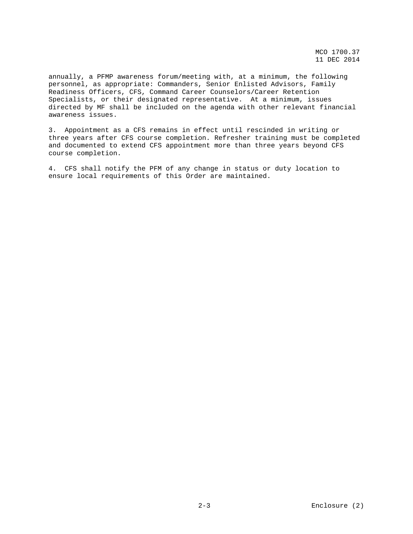annually, a PFMP awareness forum/meeting with, at a minimum, the following personnel, as appropriate: Commanders, Senior Enlisted Advisors, Family Readiness Officers, CFS, Command Career Counselors/Career Retention Specialists, or their designated representative. At a minimum, issues directed by MF shall be included on the agenda with other relevant financial awareness issues.

3. Appointment as a CFS remains in effect until rescinded in writing or three years after CFS course completion. Refresher training must be completed and documented to extend CFS appointment more than three years beyond CFS course completion.

4. CFS shall notify the PFM of any change in status or duty location to ensure local requirements of this Order are maintained.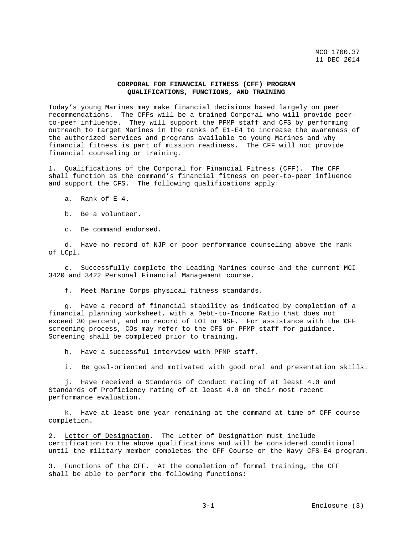## **CORPORAL FOR FINANCIAL FITNESS (CFF) PROGRAM QUALIFICATIONS, FUNCTIONS, AND TRAINING**

Today's young Marines may make financial decisions based largely on peer recommendations. The CFFs will be a trained Corporal who will provide peerto-peer influence. They will support the PFMP staff and CFS by performing outreach to target Marines in the ranks of E1-E4 to increase the awareness of the authorized services and programs available to young Marines and why financial fitness is part of mission readiness. The CFF will not provide financial counseling or training.

1. Qualifications of the Corporal for Financial Fitness (CFF). The CFF shall function as the command's financial fitness on peer-to-peer influence and support the CFS. The following qualifications apply:

a. Rank of E-4.

b. Be a volunteer.

c. Be command endorsed.

 d. Have no record of NJP or poor performance counseling above the rank of LCpl.

 e. Successfully complete the Leading Marines course and the current MCI 3420 and 3422 Personal Financial Management course.

f. Meet Marine Corps physical fitness standards.

 g. Have a record of financial stability as indicated by completion of a financial planning worksheet, with a Debt-to-Income Ratio that does not exceed 30 percent, and no record of LOI or NSF. For assistance with the CFF screening process, COs may refer to the CFS or PFMP staff for guidance. Screening shall be completed prior to training.

h. Have a successful interview with PFMP staff.

i. Be goal-oriented and motivated with good oral and presentation skills.

 j. Have received a Standards of Conduct rating of at least 4.0 and Standards of Proficiency rating of at least 4.0 on their most recent performance evaluation.

 k. Have at least one year remaining at the command at time of CFF course completion.

2. Letter of Designation. The Letter of Designation must include certification to the above qualifications and will be considered conditional until the military member completes the CFF Course or the Navy CFS-E4 program.

3. Functions of the CFF. At the completion of formal training, the CFF shall be able to perform the following functions: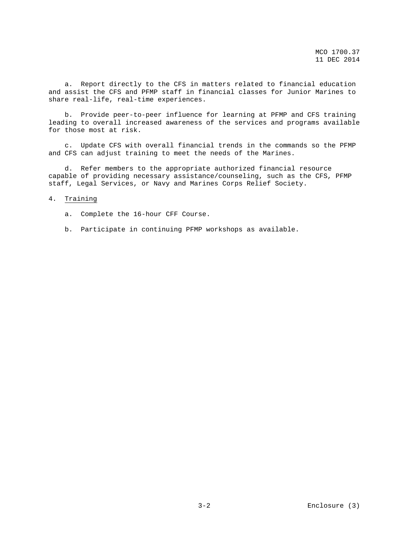a. Report directly to the CFS in matters related to financial education and assist the CFS and PFMP staff in financial classes for Junior Marines to share real-life, real-time experiences.

 b. Provide peer-to-peer influence for learning at PFMP and CFS training leading to overall increased awareness of the services and programs available for those most at risk.

 c. Update CFS with overall financial trends in the commands so the PFMP and CFS can adjust training to meet the needs of the Marines.

 d. Refer members to the appropriate authorized financial resource capable of providing necessary assistance/counseling, such as the CFS, PFMP staff, Legal Services, or Navy and Marines Corps Relief Society.

## 4. Training

a. Complete the 16-hour CFF Course.

b. Participate in continuing PFMP workshops as available.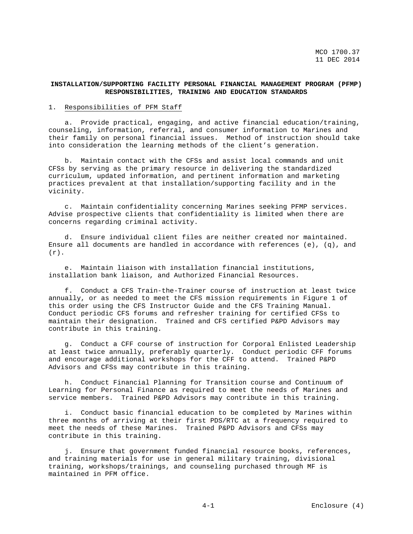## **INSTALLATION/SUPPORTING FACILITY PERSONAL FINANCIAL MANAGEMENT PROGRAM (PFMP) RESPONSIBILITIES, TRAINING AND EDUCATION STANDARDS**

### 1. Responsibilities of PFM Staff

 a. Provide practical, engaging, and active financial education/training, counseling, information, referral, and consumer information to Marines and their family on personal financial issues. Method of instruction should take into consideration the learning methods of the client's generation.

 b. Maintain contact with the CFSs and assist local commands and unit CFSs by serving as the primary resource in delivering the standardized curriculum, updated information, and pertinent information and marketing practices prevalent at that installation/supporting facility and in the vicinity.

 c. Maintain confidentiality concerning Marines seeking PFMP services. Advise prospective clients that confidentiality is limited when there are concerns regarding criminal activity.

 d. Ensure individual client files are neither created nor maintained. Ensure all documents are handled in accordance with references  $(e)$ ,  $(q)$ , and  $(r)$ .

 e. Maintain liaison with installation financial institutions, installation bank liaison, and Authorized Financial Resources.

 f. Conduct a CFS Train-the-Trainer course of instruction at least twice annually, or as needed to meet the CFS mission requirements in Figure 1 of this order using the CFS Instructor Guide and the CFS Training Manual. Conduct periodic CFS forums and refresher training for certified CFSs to maintain their designation. Trained and CFS certified P&PD Advisors may contribute in this training.

 g. Conduct a CFF course of instruction for Corporal Enlisted Leadership at least twice annually, preferably quarterly. Conduct periodic CFF forums and encourage additional workshops for the CFF to attend. Trained P&PD Advisors and CFSs may contribute in this training.

 h. Conduct Financial Planning for Transition course and Continuum of Learning for Personal Finance as required to meet the needs of Marines and service members. Trained P&PD Advisors may contribute in this training.

 i. Conduct basic financial education to be completed by Marines within three months of arriving at their first PDS/RTC at a frequency required to meet the needs of these Marines. Trained P&PD Advisors and CFSs may contribute in this training.

 j. Ensure that government funded financial resource books, references, and training materials for use in general military training, divisional training, workshops/trainings, and counseling purchased through MF is maintained in PFM office.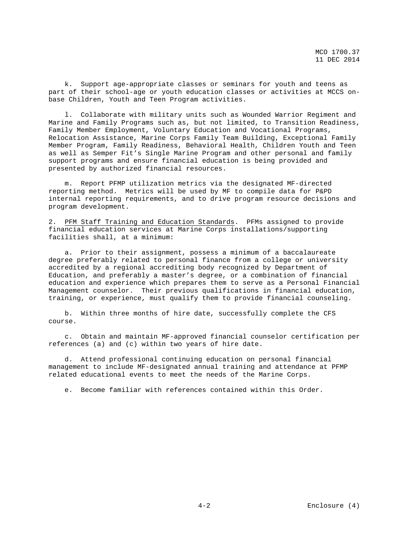k. Support age-appropriate classes or seminars for youth and teens as part of their school-age or youth education classes or activities at MCCS onbase Children, Youth and Teen Program activities.

 l. Collaborate with military units such as Wounded Warrior Regiment and Marine and Family Programs such as, but not limited, to Transition Readiness, Family Member Employment, Voluntary Education and Vocational Programs, Relocation Assistance, Marine Corps Family Team Building, Exceptional Family Member Program, Family Readiness, Behavioral Health, Children Youth and Teen as well as Semper Fit's Single Marine Program and other personal and family support programs and ensure financial education is being provided and presented by authorized financial resources.

 m. Report PFMP utilization metrics via the designated MF-directed reporting method. Metrics will be used by MF to compile data for P&PD internal reporting requirements, and to drive program resource decisions and program development.

2. PFM Staff Training and Education Standards. PFMs assigned to provide financial education services at Marine Corps installations/supporting facilities shall, at a minimum:

 a. Prior to their assignment, possess a minimum of a baccalaureate degree preferably related to personal finance from a college or university accredited by a regional accrediting body recognized by Department of Education, and preferably a master's degree, or a combination of financial education and experience which prepares them to serve as a Personal Financial Management counselor. Their previous qualifications in financial education, training, or experience, must qualify them to provide financial counseling.

 b. Within three months of hire date, successfully complete the CFS course.

 c. Obtain and maintain MF-approved financial counselor certification per references (a) and (c) within two years of hire date.

 d. Attend professional continuing education on personal financial management to include MF-designated annual training and attendance at PFMP related educational events to meet the needs of the Marine Corps.

e. Become familiar with references contained within this Order.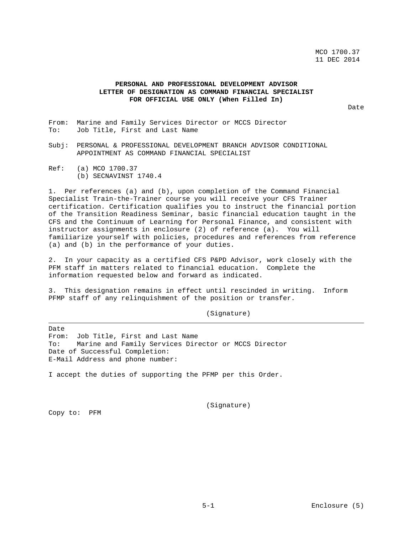# **PERSONAL AND PROFESSIONAL DEVELOPMENT ADVISOR LETTER OF DESIGNATION AS COMMAND FINANCIAL SPECIALIST FOR OFFICIAL USE ONLY (When Filled In)**

Date

- From: Marine and Family Services Director or MCCS Director<br>To: Job Title, First and Last Name Job Title, First and Last Name
- Subj: PERSONAL & PROFESSIONAL DEVELOPMENT BRANCH ADVISOR CONDITIONAL APPOINTMENT AS COMMAND FINANCIAL SPECIALIST
- Ref: (a) MCO 1700.37 (b) SECNAVINST 1740.4

1. Per references (a) and (b), upon completion of the Command Financial Specialist Train-the-Trainer course you will receive your CFS Trainer certification. Certification qualifies you to instruct the financial portion of the Transition Readiness Seminar, basic financial education taught in the CFS and the Continuum of Learning for Personal Finance, and consistent with instructor assignments in enclosure (2) of reference (a). You will familiarize yourself with policies, procedures and references from reference (a) and (b) in the performance of your duties.

2. In your capacity as a certified CFS P&PD Advisor, work closely with the PFM staff in matters related to financial education. Complete the information requested below and forward as indicated.

3. This designation remains in effect until rescinded in writing. Inform PFMP staff of any relinquishment of the position or transfer.

(Signature)

Date From: Job Title, First and Last Name<br>To: Marine and Family Services Dir Marine and Family Services Director or MCCS Director Date of Successful Completion: E-Mail Address and phone number:

I accept the duties of supporting the PFMP per this Order.

(Signature)

Copy to: PFM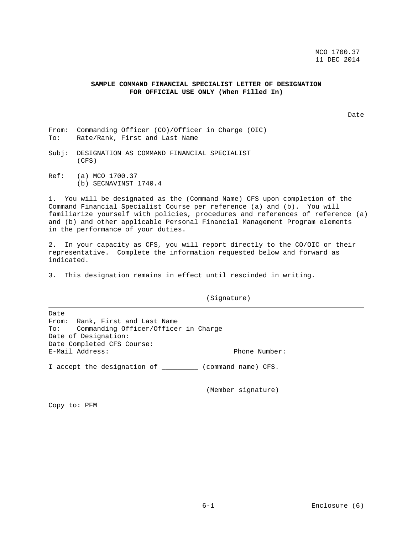## **SAMPLE COMMAND FINANCIAL SPECIALIST LETTER OF DESIGNATION FOR OFFICIAL USE ONLY (When Filled In)**

Date

- From: Commanding Officer (CO)/Officer in Charge (OIC)<br>To: Rate/Rank, First and Last Name Rate/Rank, First and Last Name
- Subj: DESIGNATION AS COMMAND FINANCIAL SPECIALIST (CFS)
- Ref: (a) MCO 1700.37 (b) SECNAVINST 1740.4

1. You will be designated as the (Command Name) CFS upon completion of the Command Financial Specialist Course per reference (a) and (b). You will familiarize yourself with policies, procedures and references of reference (a) and (b) and other applicable Personal Financial Management Program elements in the performance of your duties.

2. In your capacity as CFS, you will report directly to the CO/OIC or their representative. Complete the information requested below and forward as indicated.

3. This designation remains in effect until rescinded in writing.

(Signature)

Date From: Rank, First and Last Name<br>To: Commanding Officer/Officer Commanding Officer/Officer in Charge Date of Designation: Date Completed CFS Course: E-Mail Address: Phone Number: I accept the designation of \_\_\_\_\_\_\_\_\_ (command name) CFS.

(Member signature)

Copy to: PFM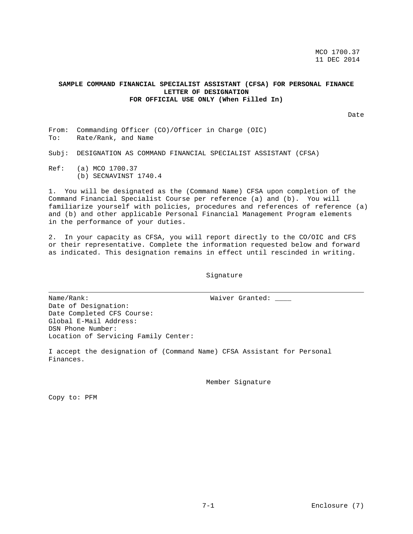## **SAMPLE COMMAND FINANCIAL SPECIALIST ASSISTANT (CFSA) FOR PERSONAL FINANCE LETTER OF DESIGNATION FOR OFFICIAL USE ONLY (When Filled In)**

Date

From: Commanding Officer (CO)/Officer in Charge (OIC)<br>To: Rate/Rank, and Name Rate/Rank, and Name

Subj: DESIGNATION AS COMMAND FINANCIAL SPECIALIST ASSISTANT (CFSA)

Ref: (a) MCO 1700.37 (b) SECNAVINST 1740.4

1. You will be designated as the (Command Name) CFSA upon completion of the Command Financial Specialist Course per reference (a) and (b). You will familiarize yourself with policies, procedures and references of reference (a) and (b) and other applicable Personal Financial Management Program elements in the performance of your duties.

2. In your capacity as CFSA, you will report directly to the CO/OIC and CFS or their representative. Complete the information requested below and forward as indicated. This designation remains in effect until rescinded in writing.

Signature

Name/Rank: Waiver Granted:

Date of Designation: Date Completed CFS Course: Global E-Mail Address: DSN Phone Number: Location of Servicing Family Center:

I accept the designation of (Command Name) CFSA Assistant for Personal Finances.

Member Signature

Copy to: PFM